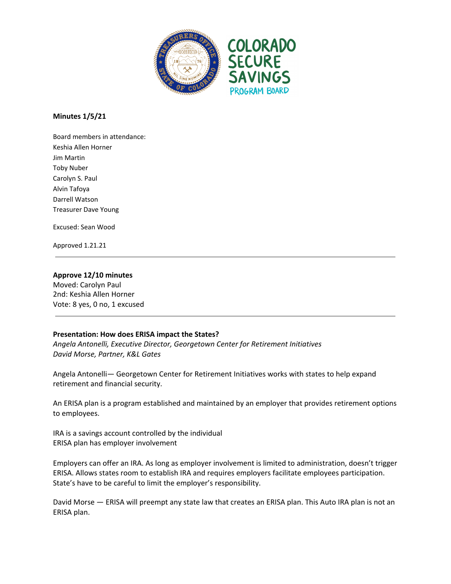

**Minutes 1/5/21**

Board members in attendance: Keshia Allen Horner Jim Martin Toby Nuber Carolyn S. Paul Alvin Tafoya Darrell Watson Treasurer Dave Young

Excused: Sean Wood

Approved 1.21.21

## **Approve 12/10 minutes**

Moved: Carolyn Paul 2nd: Keshia Allen Horner Vote: 8 yes, 0 no, 1 excused

### **Presentation: How does ERISA impact the States?**

*Angela Antonelli, Executive Director, Georgetown Center for Retirement Initiatives David Morse, Partner, K&L Gates*

Angela Antonelli— Georgetown Center for Retirement Initiatives works with states to help expand retirement and financial security.

An ERISA plan is a program established and maintained by an employer that provides retirement options to employees.

IRA is a savings account controlled by the individual ERISA plan has employer involvement

Employers can offer an IRA. As long as employer involvement is limited to administration, doesn't trigger ERISA. Allows states room to establish IRA and requires employers facilitate employees participation. State's have to be careful to limit the employer's responsibility.

David Morse — ERISA will preempt any state law that creates an ERISA plan. This Auto IRA plan is not an ERISA plan.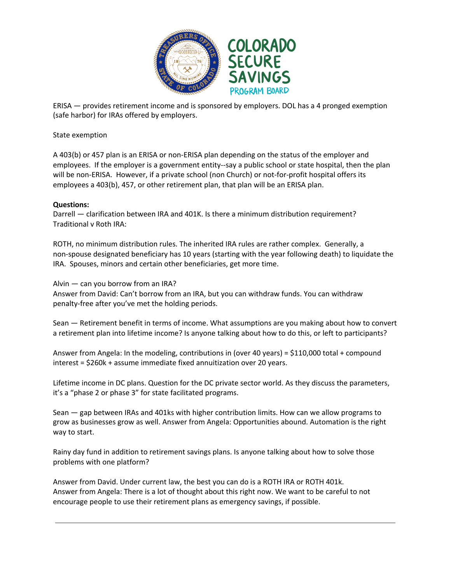

ERISA — provides retirement income and is sponsored by employers. DOL has a 4 pronged exemption (safe harbor) for IRAs offered by employers.

## State exemption

A 403(b) or 457 plan is an ERISA or non-ERISA plan depending on the status of the employer and employees. If the employer is a government entity--say a public school or state hospital, then the plan will be non-ERISA. However, if a private school (non Church) or not-for-profit hospital offers its employees a 403(b), 457, or other retirement plan, that plan will be an ERISA plan.

# **Questions:**

Darrell — clarification between IRA and 401K. Is there a minimum distribution requirement? Traditional v Roth IRA:

ROTH, no minimum distribution rules. The inherited IRA rules are rather complex. Generally, a non-spouse designated beneficiary has 10 years (starting with the year following death) to liquidate the IRA. Spouses, minors and certain other beneficiaries, get more time.

Alvin — can you borrow from an IRA? Answer from David: Can't borrow from an IRA, but you can withdraw funds. You can withdraw penalty-free after you've met the holding periods.

Sean — Retirement benefit in terms of income. What assumptions are you making about how to convert a retirement plan into lifetime income? Is anyone talking about how to do this, or left to participants?

Answer from Angela: In the modeling, contributions in (over 40 years) = \$110,000 total + compound interest = \$260k + assume immediate fixed annuitization over 20 years.

Lifetime income in DC plans. Question for the DC private sector world. As they discuss the parameters, it's a "phase 2 or phase 3" for state facilitated programs.

Sean — gap between IRAs and 401ks with higher contribution limits. How can we allow programs to grow as businesses grow as well. Answer from Angela: Opportunities abound. Automation is the right way to start.

Rainy day fund in addition to retirement savings plans. Is anyone talking about how to solve those problems with one platform?

Answer from David. Under current law, the best you can do is a ROTH IRA or ROTH 401k. Answer from Angela: There is a lot of thought about this right now. We want to be careful to not encourage people to use their retirement plans as emergency savings, if possible.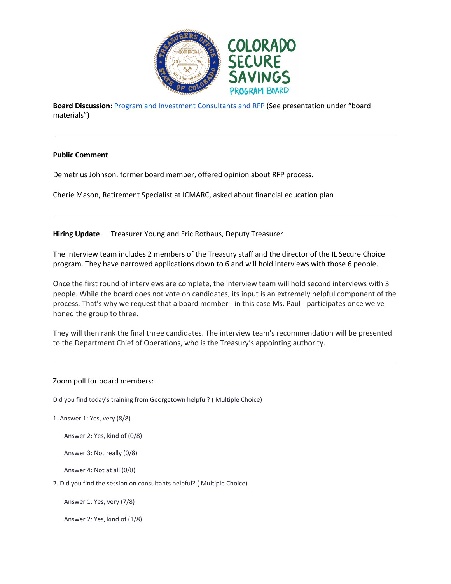

**Board Discussion**: Program and Investment [Consultants](https://treasury.colorado.gov/sites/treasury/files/Consultants_CSSPB.pdf) and RFP (See presentation under "board materials")

## **Public Comment**

Demetrius Johnson, former board member, offered opinion about RFP process.

Cherie Mason, Retirement Specialist at ICMARC, asked about financial education plan

**Hiring Update** — Treasurer Young and Eric Rothaus, Deputy Treasurer

The interview team includes 2 members of the Treasury staff and the director of the IL Secure Choice program. They have narrowed applications down to 6 and will hold interviews with those 6 people.

Once the first round of interviews are complete, the interview team will hold second interviews with 3 people. While the board does not vote on candidates, its input is an extremely helpful component of the process. That's why we request that a board member - in this case Ms. Paul - participates once we've honed the group to three.

They will then rank the final three candidates. The interview team's recommendation will be presented to the Department Chief of Operations, who is the Treasury's appointing authority.

### Zoom poll for board members:

Did you find today's training from Georgetown helpful? ( Multiple Choice)

1. Answer 1: Yes, very (8/8)

Answer 2: Yes, kind of (0/8)

Answer 3: Not really (0/8)

Answer 4: Not at all (0/8)

2. Did you find the session on consultants helpful? ( Multiple Choice)

Answer 1: Yes, very (7/8)

Answer 2: Yes, kind of (1/8)